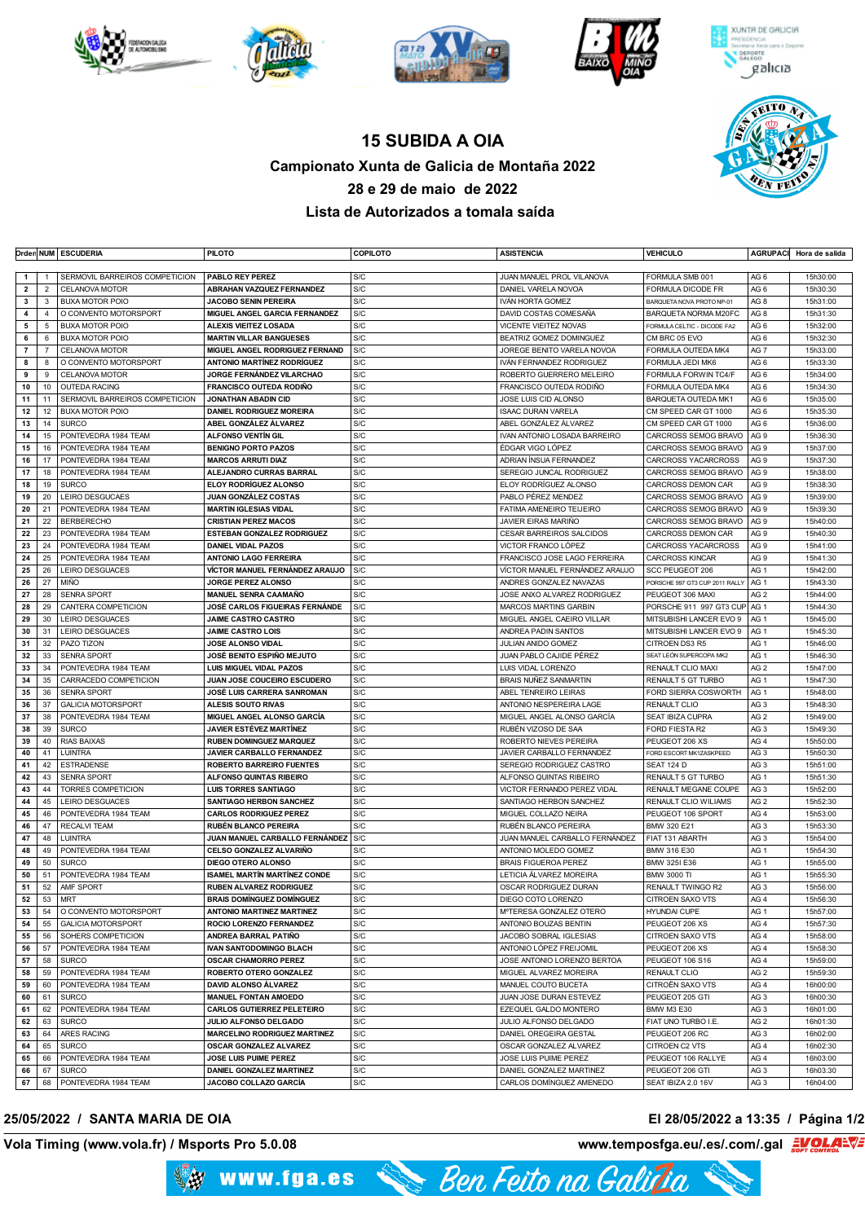



## **15 SUBIDA A OIA Campionato Xunta de Galicia de Montaña 2022 28 e 29 de maio de 2022 Lista de Autorizados a tomala saída**

|                         |                | Orden NUM   ESCUDERIA          | <b>PILOTO</b>                       | <b>COPILOTO</b> | <b>ASISTENCIA</b>               | <b>VEHICULO</b>                | <b>AGRUPACI</b> | Hora de salida |
|-------------------------|----------------|--------------------------------|-------------------------------------|-----------------|---------------------------------|--------------------------------|-----------------|----------------|
|                         |                |                                |                                     |                 |                                 |                                |                 |                |
| $\mathbf{1}$            | -1             | SERMOVIL BARREIROS COMPETICION | PABLO REY PEREZ                     | S/C             | JUAN MANUEL PROL VILANOVA       | FORMULA SMB 001                | AG <sub>6</sub> | 15h30:00       |
| $\overline{\mathbf{2}}$ | $\overline{2}$ | <b>CELANOVA MOTOR</b>          | <b>ABRAHAN VAZQUEZ FERNANDEZ</b>    | S/C             | DANIEL VARELA NOVOA             | FORMULA DICODE FR              | AG <sub>6</sub> | 15h30:30       |
| 3                       | 3              | <b>BUXA MOTOR POIO</b>         | <b>JACOBO SENIN PEREIRA</b>         | S/C             | IVÁN HORTA GOMEZ                | BARQUETA NOVA PROTO NP-01      | AG <sub>8</sub> | 15h31:00       |
| 4                       | $\overline{4}$ | O CONVENTO MOTORSPORT          | MIGUEL ANGEL GARCIA FERNANDEZ       | S/C             | DAVID COSTAS COMESAÑA           | BARQUETA NORMA M20FC           | AG <sub>8</sub> | 15h31:30       |
| 5                       | 5              | BUXA MOTOR POIO                | <b>ALEXIS VIEITEZ LOSADA</b>        | S/C             | <b>VICENTE VIEITEZ NOVAS</b>    | FORMULA CELTIC - DICODE FA2    | AG <sub>6</sub> | 15h32:00       |
| 6                       | 6              | <b>BUXA MOTOR POIO</b>         | <b>MARTIN VILLAR BANGUESES</b>      | S/C             | BEATRIZ GOMEZ DOMINGUEZ         | CM BRC 05 EVO                  | AG <sub>6</sub> | 15h32:30       |
| $\overline{7}$          | $\overline{7}$ | CELANOVA MOTOR                 | MIGUEL ANGEL RODRIGUEZ FERNAND      | S/C             | JOREGE BENITO VARELA NOVOA      | FORMULA OUTEDA MK4             | AG <sub>7</sub> | 15h33:00       |
| 8                       | 8              | O CONVENTO MOTORSPORT          | <b>ANTONIO MARTÍNEZ RODRÍGUEZ</b>   | S/C             | IVÁN FERNANDEZ RODRIGUEZ        | FORMULA JEDI MK6               | AG <sub>6</sub> | 15h33:30       |
| 9                       | 9              | CELANOVA MOTOR                 | JORGE FERNÁNDEZ VILARCHAO           | S/C             | ROBERTO GUERRERO MELEIRO        | FORMULA FORWIN TC4/F           | AG <sub>6</sub> | 15h34:00       |
| 10                      | 10             | <b>OUTEDA RACING</b>           | <b>FRANCISCO OUTEDA RODIÑO</b>      | S/C             | FRANCISCO OUTEDA RODIÑO         | FORMULA OUTEDA MK4             | AG <sub>6</sub> | 15h34:30       |
| 11                      | 11             | SERMOVIL BARREIROS COMPETICION | JONATHAN ABADIN CID                 | S/C             | JOSE LUIS CID ALONSO            | <b>BARQUETA OUTEDA MK1</b>     | AG <sub>6</sub> | 15h35:00       |
| 12                      | 12             | <b>BUXA MOTOR POIO</b>         | <b>DANIEL RODRIGUEZ MOREIRA</b>     | S/C             | <b>ISAAC DURAN VARELA</b>       | CM SPEED CAR GT 1000           | AG <sub>6</sub> | 15h35:30       |
| 13                      | 14             | <b>SURCO</b>                   | ABEL GONZÁLEZ ÁLVAREZ               | S/C             | ABEL GONZÁLEZ ÁLVAREZ           | CM SPEED CAR GT 1000           | AG <sub>6</sub> | 15h36:00       |
| 14                      | 15             | PONTEVEDRA 1984 TEAM           | <b>ALFONSO VENTIN GIL</b>           | S/C             | IVAN ANTONIO LOSADA BARREIRO    | CARCROSS SEMOG BRAVO           | AG <sub>9</sub> | 15h36:30       |
| 15                      | 16             | PONTEVEDRA 1984 TEAM           | <b>BENIGNO PORTO PAZOS</b>          | S/C             | ÉDGAR VIGO LÓPEZ                | CARCROSS SEMOG BRAVO           | AG <sub>9</sub> | 15h37:00       |
| 16                      | 17             | PONTEVEDRA 1984 TEAM           | <b>MARCOS ARRUTI DIAZ</b>           | S/C             | ADRIAN ÍNSUA FERNANDEZ          | CARCROSS YACARCROSS            | AG <sub>9</sub> | 15h37:30       |
| 17                      | 18             | PONTEVEDRA 1984 TEAM           | ALEJANDRO CURRAS BARRAL             | S/C             | SEREGIO JUNCAL RODRIGUEZ        | CARCROSS SEMOG BRAVO           | AG <sub>9</sub> | 15h38:00       |
| 18                      | 19             | <b>SURCO</b>                   | <b>ELOY RODRÍGUEZ ALONSO</b>        | S/C             | ELOY RODRÍGUEZ ALONSO           | CARCROSS DEMON CAR             | AG <sub>9</sub> | 15h38:30       |
| 19                      | 20             | LEIRO DESGUCAES                | JUAN GONZÁLEZ COSTAS                | S/C             | PABLO PÉREZ MENDEZ              | CARCROSS SEMOG BRAVO           | AG <sub>9</sub> | 15h39:00       |
| 20                      | 21             | PONTEVEDRA 1984 TEAM           | <b>MARTIN IGLESIAS VIDAL</b>        | S/C             | <b>FATIMA AMENEIRO TEIJEIRO</b> | CARCROSS SEMOG BRAVO           | AG <sub>9</sub> | 15h39:30       |
| 21                      | 22             | <b>BERBERECHO</b>              | <b>CRISTIAN PEREZ MACOS</b>         | S/C             | JAVIER EIRAS MARIÑO             | CARCROSS SEMOG BRAVO           | AG <sub>9</sub> | 15h40:00       |
| 22                      | 23             | PONTEVEDRA 1984 TEAM           | <b>ESTEBAN GONZALEZ RODRIGUEZ</b>   | S/C             | <b>CESAR BARREIROS SALCIDOS</b> | CARCROSS DEMON CAR             | AG <sub>9</sub> | 15h40:30       |
| 23                      | 24             | PONTEVEDRA 1984 TEAM           | <b>DANIEL VIDAL PAZOS</b>           | S/C             | VICTOR FRANCO LÓPEZ             | <b>CARCROSS YACARCROSS</b>     | AG <sub>9</sub> | 15h41:00       |
| 24                      | 25             | PONTEVEDRA 1984 TEAM           | <b>ANTONIO LAGO FERREIRA</b>        | S/C             | FRANCISCO JOSE LAGO FERREIRA    | <b>CARCROSS KINCAR</b>         | AG <sub>9</sub> | 15h41:30       |
| 25                      | 26             | LEIRO DESGUACES                | VÍCTOR MANUEL FERNÁNDEZ ARAUJO      | S/C             | VÍCTOR MANUEL FERNÁNDEZ ARAUJO  | SCC PEUGEOT 206                | AG <sub>1</sub> | 15h42:00       |
| 26                      | 27             | <b>MIÑO</b>                    | JORGE PEREZ ALONSO                  | S/C             | ANDRES GONZALEZ NAVAZAS         | PORSCHE 997 GT3 CUP 2011 RALLY | AG <sub>1</sub> | 15h43:30       |
| 27                      | 28             | <b>SENRA SPORT</b>             | <b>MANUEL SENRA CAAMAÑO</b>         | S/C             | JOSE ANXO ALVAREZ RODRIGUEZ     | PEUGEOT 306 MAXI               | AG <sub>2</sub> | 15h44:00       |
| 28                      | 29             | CANTERA COMPETICION            | JOSÉ CARLOS FIGUEIRAS FERNÁNDE      | S/C             | <b>MARCOS MARTINS GARBIN</b>    | PORSCHE 911 997 GT3 CUP AG 1   |                 | 15h44:30       |
| 29                      | 30             | LEIRO DESGUACES                | <b>JAIME CASTRO CASTRO</b>          | S/C             | MIGUEL ANGEL CAEIRO VILLAR      | MITSUBISHI LANCER EVO 9        | AG <sub>1</sub> | 15h45:00       |
| 30                      | 31             | <b>LEIRO DESGUACES</b>         | <b>JAIME CASTRO LOIS</b>            | S/C             | ANDREA PADIN SANTOS             | MITSUBISHI LANCER EVO 9        | AG <sub>1</sub> | 15h45:30       |
| 31                      | 32             | PAZO TIZON                     | <b>JOSE ALONSO VIDAL</b>            | S/C             | JULIAN ANIDO GOMEZ              | CITROEN DS3 R5                 | AG <sub>1</sub> | 15h46:00       |
| 32                      | 33             | <b>SENRA SPORT</b>             | JOSÉ BENITO ESPIÑO MEJUTO           | S/C             | JUAN PABLO CAJIDE PÉREZ         | SEAT LEÓN SUPERCOPA MK2        | AG <sub>1</sub> | 15h46:30       |
| 33                      | 34             | PONTEVEDRA 1984 TEAM           | <b>LUIS MIGUEL VIDAL PAZOS</b>      | S/C             | LUIS VIDAL LORENZO              | RENAULT CLIO MAXI              | AG <sub>2</sub> | 15h47:00       |
| 34                      | 35             | CARRACEDO COMPETICION          | JUAN JOSE COUCEIRO ESCUDERO         | S/C             | BRAIS NUÑEZ SANMARTIN           | RENAULT 5 GT TURBO             | AG <sub>1</sub> | 15h47:30       |
| 35                      | 36             | <b>SENRA SPORT</b>             | <b>JOSÉ LUIS CARRERA SANROMAN</b>   | S/C             | ABEL TENREIRO LEIRAS            | FORD SIERRA COSWORTH           | AG <sub>1</sub> | 15h48:00       |
| 36                      | 37             | <b>GALICIA MOTORSPORT</b>      | ALESIS SOUTO RIVAS                  | S/C             | ANTONIO NESPEREIRA LAGE         | <b>RENAULT CLIO</b>            | AG <sub>3</sub> | 15h48:30       |
| 37                      | 38             | PONTEVEDRA 1984 TEAM           | MIGUEL ANGEL ALONSO GARCÍA          | S/C             | MIGUEL ANGEL ALONSO GARCÍA      | SEAT IBIZA CUPRA               | AG <sub>2</sub> | 15h49:00       |
| 38                      | 39             | <b>SURCO</b>                   | <b>JAVIER ESTÉVEZ MARTÍNEZ</b>      | S/C             | RUBÉN VIZOSO DE SAA             | FORD FIESTA R2                 | AG <sub>3</sub> | 15h49:30       |
| 39                      | 40             | <b>RIAS BAIXAS</b>             | <b>RUBEN DOMINGUEZ MARQUEZ</b>      | S/C             | ROBERTO NIEVES PEREIRA          | PEUGEOT 206 XS                 | AG4             | 15h50:00       |
| 40                      | 41             | <b>LUINTRA</b>                 | JAVIER CARBALLO FERNANDEZ           | S/C             | JAVIER CARBALLO FERNANDEZ       | FORD ESCORT MK1ZASKPEED        | AG <sub>3</sub> | 15h50:30       |
| 41                      | 42             | <b>ESTRADENSE</b>              | <b>ROBERTO BARREIRO FUENTES</b>     | S/C             | SEREGIO RODRIGUEZ CASTRO        | SEAT 124 D                     | AG <sub>3</sub> | 15h51:00       |
| 42                      | 43             | <b>SENRA SPORT</b>             | ALFONSO QUINTAS RIBEIRO             | S/C             | ALFONSO QUINTAS RIBEIRO         | RENAULT 5 GT TURBO             | AG <sub>1</sub> | 15h51:30       |
| 43                      | 44             | <b>TORRES COMPETICION</b>      | <b>LUIS TORRES SANTIAGO</b>         | S/C             | VICTOR FERNANDO PEREZ VIDAL     | RENAULT MEGANE COUPE           | AG <sub>3</sub> | 15h52:00       |
| 44                      | 45             | LEIRO DESGUACES                | <b>SANTIAGO HERBON SANCHEZ</b>      | S/C             | SANTIAGO HERBON SANCHEZ         | RENAULT CLIO WILIAMS           | AG <sub>2</sub> | 15h52:30       |
| 45                      | 46             | PONTEVEDRA 1984 TEAM           | <b>CARLOS RODRIGUEZ PEREZ</b>       | S/C             | MIGUEL COLLAZO NEIRA            | PEUGEOT 106 SPORT              | AG4             | 15h53:00       |
| 46                      | 47             | <b>RECALVI TEAM</b>            | <b>RUBÉN BLANCO PEREIRA</b>         | S/C             | RUBÉN BLANCO PEREIRA            | BMW 320 E21                    | AG <sub>3</sub> | 15h53:30       |
| 47                      | 48             | <b>LUINTRA</b>                 | JUAN MANUEL CARBALLO FERNÁNDEZ      | S/C             | JUAN MANUEL CARBALLO FERNÁNDEZ  | FIAT 131 ABARTH                | AG <sub>3</sub> | 15h54:00       |
| 48                      | 49             | PONTEVEDRA 1984 TEAM           | <b>CELSO GONZALEZ ALVARIÑO</b>      | S/C             | ANTONIO MOLEDO GOMEZ            | BMW 316 E30                    | AG <sub>1</sub> | 15h54:30       |
| 49                      | 50             | <b>SURCO</b>                   | DIEGO OTERO ALONSO                  | S/C             | <b>BRAIS FIGUEROA PEREZ</b>     | BMW 3251 E36                   | AG <sub>1</sub> | 15h55:00       |
| 50                      | 51             | PONTEVEDRA 1984 TEAM           | <b>ISAMEL MARTÍN MARTÍNEZ CONDE</b> | S/C             | LETICIA ÁLVAREZ MOREIRA         | <b>BMW 3000 TI</b>             | AG <sub>1</sub> | 15h55:30       |
| 51                      | 52             | AMF SPORT                      | RUBEN ALVAREZ RODRIGUEZ             | S/C             | OSCAR RODRIGUEZ DURAN           | <b>RENAULT TWINGO R2</b>       | AG <sub>3</sub> | 15h56:00       |
|                         | 52   53   MRT  |                                | <b>BRAIS DOMINGUEZ DOMINGUEZ</b>    | S/C             | DIEGO COTO LORENZO              | CITROEN SAXO VTS               | AG 4            | 15h56:30       |
| 53                      |                | 54   O CONVENTO MOTORSPORT     | <b>ANTONIO MARTINEZ MARTINEZ</b>    | S/C             | M°TERESA GONZALEZ OTERO         | <b>HYUNDAI CUPE</b>            | AG <sub>1</sub> | 15h57:00       |
| 54                      | 55             | <b>GALICIA MOTORSPORT</b>      | ROCIO LORENZO FERNANDEZ             | S/C             | ANTONIO BOUZAS BENTIN           | PEUGEOT 206 XS                 | AG4             | 15h57:30       |
| 55                      | 56             | SOHERS COMPETICION             | ANDREA BARRAL PATIÑO                | S/C             | JACOBO SOBRAL IGLESIAS          | CITROEN SAXO VTS               | AG4             | 15h58:00       |
| 56                      | 57             | PONTEVEDRA 1984 TEAM           | <b>IVAN SANTODOMINGO BLACH</b>      | S/C             | ANTONIO LÓPEZ FREIJOMIL         | PEUGEOT 206 XS                 | AG4             | 15h58:30       |
| 57                      | 58             | <b>SURCO</b>                   | <b>OSCAR CHAMORRO PEREZ</b>         | S/C             | JOSE ANTONIO LORENZO BERTOA     | PEUGEOT 106 S16                | AG4             | 15h59:00       |
| 58                      | 59             | PONTEVEDRA 1984 TEAM           | ROBERTO OTERO GONZALEZ              | S/C             | MIGUEL ALVAREZ MOREIRA          | RENAULT CLIO                   | AG <sub>2</sub> | 15h59:30       |
| 59                      | 60             | PONTEVEDRA 1984 TEAM           | DAVID ALONSO ÁLVAREZ                | S/C             | MANUEL COUTO BUCETA             | CITROËN SAXO VTS               | AG4             | 16h00:00       |
| 60                      | 61             | <b>SURCO</b>                   | <b>MANUEL FONTAN AMOEDO</b>         | S/C             | JUAN JOSE DURAN ESTEVEZ         | PEUGEOT 205 GTI                | AG <sub>3</sub> | 16h00:30       |
| 61                      | 62             | PONTEVEDRA 1984 TEAM           | <b>CARLOS GUTIERREZ PELETEIRO</b>   | S/C             | EZEQUEL GALDO MONTERO           | <b>BMW M3 E30</b>              | AG <sub>3</sub> | 16h01:00       |
| 62                      | 63             | <b>SURCO</b>                   | JULIO ALFONSO DELGADO               | S/C             | JULIO ALFONSO DELGADO           | FIAT UNO TURBO I.E.            | AG <sub>2</sub> | 16h01:30       |
| 63                      | 64             | ARES RACING                    | <b>MARCELINO RODRIGUEZ MARTINEZ</b> | S/C             | DANIEL OREGEIRA GESTAL          | PEUGEOT 206 RC                 | AG <sub>3</sub> | 16h02:00       |
| 64                      | 65             | <b>SURCO</b>                   | OSCAR GONZALEZ ALVAREZ              | S/C             | OSCAR GONZALEZ ALVAREZ          | CITROEN C2 VTS                 | AG4             | 16h02:30       |
| 65                      | 66             | PONTEVEDRA 1984 TEAM           | JOSE LUIS PUIME PEREZ               | S/C             | JOSE LUIS PUIME PEREZ           | PEUGEOT 106 RALLYE             | AG4             | 16h03:00       |
| 66                      | 67             | <b>SURCO</b>                   | DANIEL GONZALEZ MARTINEZ            | S/C             | DANIEL GONZALEZ MARTINEZ        | PEUGEOT 206 GTI                | AG <sub>3</sub> | 16h03:30       |
|                         |                | 67 68 PONTEVEDRA 1984 TEAM     | JACOBO COLLAZO GARCÍA               | S/C             | CARLOS DOMÍNGUEZ AMENEDO        | SEAT IBIZA 2.0 16V             | AG <sub>3</sub> | 16h04:00       |

## **25/05/2022 / SANTA MARIA DE OIA El 28/05/2022 a 13:35 / Página 1/2**

**Vola Timing (www.vola.fr) / Msports Pro 5.0.08 www.temposfga.eu/.es/.com/.gal**

**Volador Control**